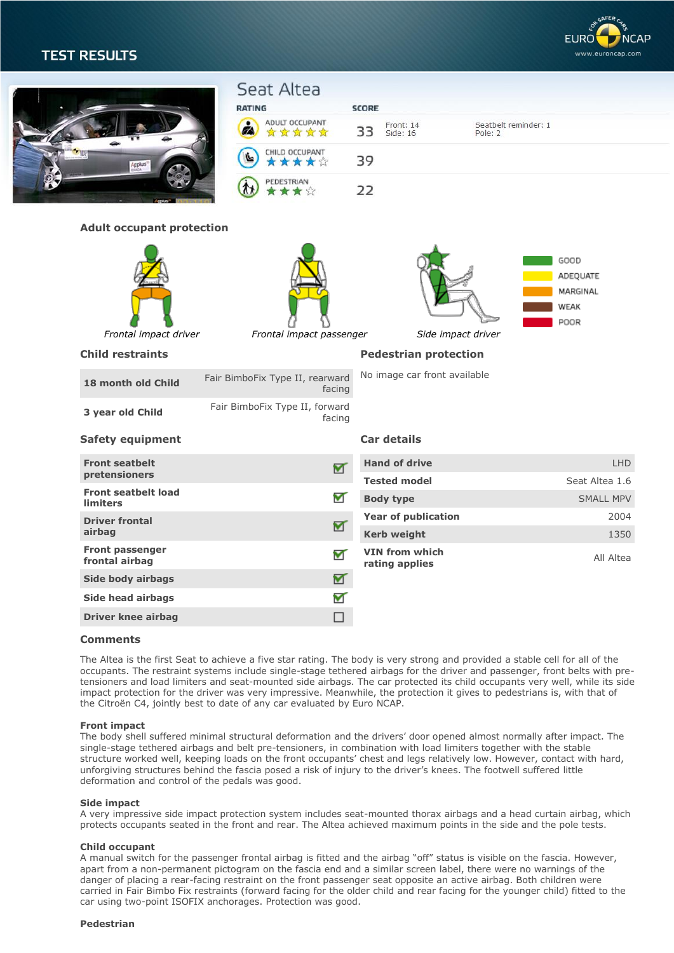

| כושכאו וכאו                       |                                                       |                                                                                                                              |                                                                                                                               |
|-----------------------------------|-------------------------------------------------------|------------------------------------------------------------------------------------------------------------------------------|-------------------------------------------------------------------------------------------------------------------------------|
| ytbyne <sub>.</sub>               | Seat Altea<br><b>RATING</b>                           |                                                                                                                              |                                                                                                                               |
|                                   | Ø<br>****                                             | 33<br>Side: 16<br>Pole: 2                                                                                                    | Seatbelt reminder: 1                                                                                                          |
|                                   | CHILD OCCUPANT<br>食食食堂                                | 39                                                                                                                           |                                                                                                                               |
|                                   | PEDESTRIAN<br>食食館                                     | 22                                                                                                                           |                                                                                                                               |
|                                   |                                                       |                                                                                                                              |                                                                                                                               |
| Frontal impact driver             |                                                       | Side impact driver                                                                                                           | GOOD<br>ADEQUATE<br>MARGINAL<br>WEAK<br>POOR                                                                                  |
| <b>Child restraints</b>           |                                                       | <b>Pedestrian protection</b>                                                                                                 |                                                                                                                               |
| 18 month old Child                | facing                                                | No image car front available                                                                                                 |                                                                                                                               |
| 3 year old Child                  | facing                                                |                                                                                                                              |                                                                                                                               |
| <b>Safety equipment</b>           |                                                       | Car details                                                                                                                  |                                                                                                                               |
| <b>Front seatbelt</b>             | M                                                     | <b>Hand of drive</b>                                                                                                         | <b>LHD</b>                                                                                                                    |
|                                   |                                                       | <b>Tested model</b>                                                                                                          | Seat Altea 1.6                                                                                                                |
| <b>limiters</b>                   |                                                       |                                                                                                                              | SMALL MPV                                                                                                                     |
| <b>Driver frontal</b>             | ᢦ                                                     |                                                                                                                              | 2004<br>1350                                                                                                                  |
| Front passenger<br>frontal airbag | V                                                     | <b>VIN from which</b><br>rating applies                                                                                      | All Altea                                                                                                                     |
| Side body airbags                 | ☑                                                     |                                                                                                                              |                                                                                                                               |
| Side head airbags                 | ▽                                                     |                                                                                                                              |                                                                                                                               |
| <b>Driver knee airbag</b>         | $\overline{\phantom{a}}$                              |                                                                                                                              |                                                                                                                               |
|                                   | pretensioners<br><b>Front seatbelt load</b><br>airbag | ADULT OCCUPANT<br><b>Adult occupant protection</b><br>Fair BimboFix Type II, rearward<br>Fair BimboFix Type II, forward<br>▼ | <b>SCORE</b><br>Front: 14<br>Frontal impact passenger<br><b>Body type</b><br><b>Year of publication</b><br><b>Kerb weight</b> |

# **Comments**

The Altea is the first Seat to achieve a five star rating. The body is very strong and provided a stable cell for all of the occupants. The restraint systems include single-stage tethered airbags for the driver and passenger, front belts with pretensioners and load limiters and seat-mounted side airbags. The car protected its child occupants very well, while its side impact protection for the driver was very impressive. Meanwhile, the protection it gives to pedestrians is, with that of the Citroën C4, jointly best to date of any car evaluated by Euro NCAP.

## **Front impact**

The body shell suffered minimal structural deformation and the drivers' door opened almost normally after impact. The single-stage tethered airbags and belt pre-tensioners, in combination with load limiters together with the stable structure worked well, keeping loads on the front occupants' chest and legs relatively low. However, contact with hard, unforgiving structures behind the fascia posed a risk of injury to the driver's knees. The footwell suffered little deformation and control of the pedals was good.

## **Side impact**

A very impressive side impact protection system includes seat-mounted thorax airbags and a head curtain airbag, which protects occupants seated in the front and rear. The Altea achieved maximum points in the side and the pole tests.

## **Child occupant**

A manual switch for the passenger frontal airbag is fitted and the airbag "off" status is visible on the fascia. However, apart from a non-permanent pictogram on the fascia end and a similar screen label, there were no warnings of the danger of placing a rear-facing restraint on the front passenger seat opposite an active airbag. Both children were carried in Fair Bimbo Fix restraints (forward facing for the older child and rear facing for the younger child) fitted to the car using two-point ISOFIX anchorages. Protection was good.

## **Pedestrian**